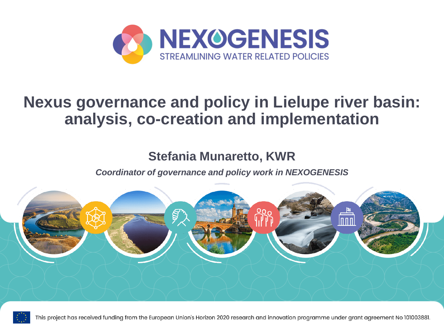

#### **Nexus governance and policy in Lielupe river basin: analysis, co-creation and implementation**

#### **Stefania Munaretto, KWR**

*Coordinator of governance and policy work in NEXOGENESIS* 





This project has received funding from the European Union's Horizon 2020 research and innovation programme under grant agreement No 101003881.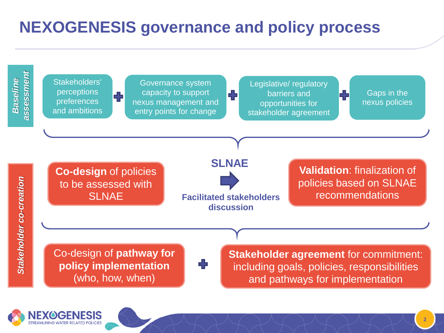## **NEXOGENESIS governance and policy process**



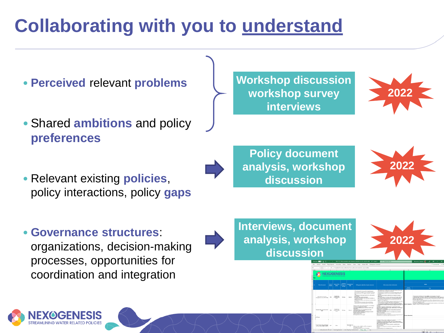# **Collaborating with you to understand**

- **Perceived** relevant **problems**
- Shared **ambitions** and policy **preferences**
- Relevant existing **policies**, policy interactions, policy **gaps**

**Workshop discussion workshop survey interviews**



**Policy document analysis, workshop discussion**



• **Governance structures**: organizations, decision-making processes, opportunities for coordination and integration



**Interviews, document analysis, workshop discussion**



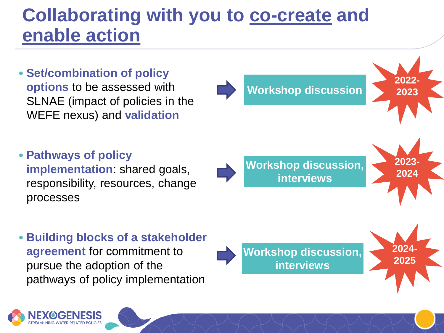## **Collaborating with you to co-create and enable action**

- **Set/combination of policy options** to be assessed with SLNAE (impact of policies in the WEFE nexus) and **validation**
- **Pathways of policy implementation**: shared goals, responsibility, resources, change processes
- **Building blocks of a stakeholder agreement** for commitment to pursue the adoption of the pathways of policy implementation